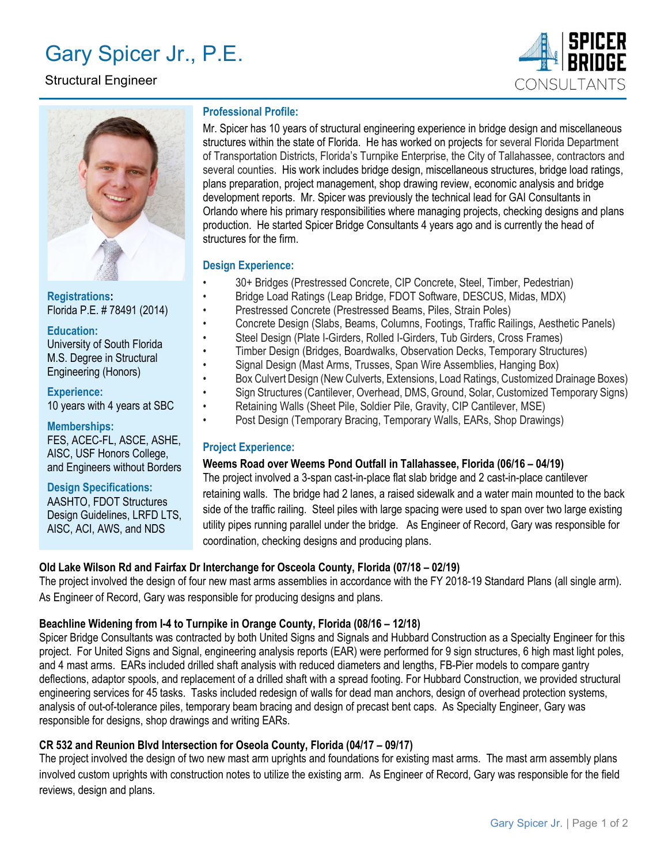# Gary Spicer Jr., P.E.

# Structural Engineer





Registrations: Florida P.E. # 78491 (2014)

Education: University of South Florida M.S. Degree in Structural Engineering (Honors)

Experience: 10 years with 4 years at SBC

#### Memberships:

FES, ACEC-FL, ASCE, ASHE, AISC, USF Honors College, and Engineers without Borders

Design Specifications:

AASHTO, FDOT Structures Design Guidelines, LRFD LTS, AISC, ACI, AWS, and NDS

## Professional Profile:

Mr. Spicer has 10 years of structural engineering experience in bridge design and miscellaneous structures within the state of Florida. He has worked on projects for several Florida Department of Transportation Districts, Florida's Turnpike Enterprise, the City of Tallahassee, contractors and several counties. His work includes bridge design, miscellaneous structures, bridge load ratings, plans preparation, project management, shop drawing review, economic analysis and bridge development reports. Mr. Spicer was previously the technical lead for GAI Consultants in Orlando where his primary responsibilities where managing projects, checking designs and plans production. He started Spicer Bridge Consultants 4 years ago and is currently the head of structures for the firm.

## Design Experience:

- 30+ Bridges (Prestressed Concrete, CIP Concrete, Steel, Timber, Pedestrian)
- Bridge Load Ratings (Leap Bridge, FDOT Software, DESCUS, Midas, MDX)
- Prestressed Concrete (Prestressed Beams, Piles, Strain Poles)
- Concrete Design (Slabs, Beams, Columns, Footings, Traffic Railings, Aesthetic Panels)
- Steel Design (Plate I-Girders, Rolled I-Girders, Tub Girders, Cross Frames)
- Timber Design (Bridges, Boardwalks, Observation Decks, Temporary Structures)
- Signal Design (Mast Arms, Trusses, Span Wire Assemblies, Hanging Box)
- Box Culvert Design (New Culverts, Extensions, Load Ratings, Customized Drainage Boxes)
- Sign Structures (Cantilever, Overhead, DMS, Ground, Solar, Customized Temporary Signs)
- Retaining Walls (Sheet Pile, Soldier Pile, Gravity, CIP Cantilever, MSE)
- Post Design (Temporary Bracing, Temporary Walls, EARs, Shop Drawings)

## Project Experience:

## Weems Road over Weems Pond Outfall in Tallahassee, Florida (06/16 – 04/19)

The project involved a 3-span cast-in-place flat slab bridge and 2 cast-in-place cantilever retaining walls. The bridge had 2 lanes, a raised sidewalk and a water main mounted to the back side of the traffic railing. Steel piles with large spacing were used to span over two large existing utility pipes running parallel under the bridge. As Engineer of Record, Gary was responsible for coordination, checking designs and producing plans.

## Old Lake Wilson Rd and Fairfax Dr Interchange for Osceola County, Florida (07/18 – 02/19)

The project involved the design of four new mast arms assemblies in accordance with the FY 2018-19 Standard Plans (all single arm). As Engineer of Record, Gary was responsible for producing designs and plans.

## Beachline Widening from I-4 to Turnpike in Orange County, Florida (08/16 – 12/18)

Spicer Bridge Consultants was contracted by both United Signs and Signals and Hubbard Construction as a Specialty Engineer for this project. For United Signs and Signal, engineering analysis reports (EAR) were performed for 9 sign structures, 6 high mast light poles, and 4 mast arms. EARs included drilled shaft analysis with reduced diameters and lengths, FB-Pier models to compare gantry deflections, adaptor spools, and replacement of a drilled shaft with a spread footing. For Hubbard Construction, we provided structural engineering services for 45 tasks. Tasks included redesign of walls for dead man anchors, design of overhead protection systems, analysis of out-of-tolerance piles, temporary beam bracing and design of precast bent caps. As Specialty Engineer, Gary was responsible for designs, shop drawings and writing EARs.

## CR 532 and Reunion Blvd Intersection for Oseola County, Florida (04/17 – 09/17)

The project involved the design of two new mast arm uprights and foundations for existing mast arms. The mast arm assembly plans involved custom uprights with construction notes to utilize the existing arm. As Engineer of Record, Gary was responsible for the field reviews, design and plans.